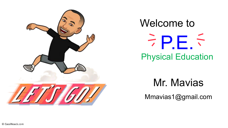

#### Welcome to Physical Education  $P.E.5$

Mr. Mavias

Mmavias1@gmail.com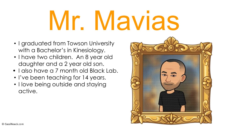# Mr. Mavias

- I graduated from Towson University with a Bachelor's in Kinesiology.
- I have two children. An 8 year old daughter and a 2 year old son.
- I also have a 7 month old Black Lab.
- I've been teaching for 14 years.
- I love being outside and staying active.

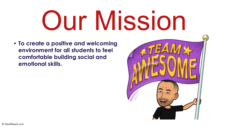## Our Mission

**• To create a positive and welcoming environment for all students to feel comfortable building social and emotional skills.**

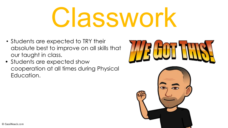## Classwork

- Students are expected to TRY their absolute best to improve on all skills that our taught in class.
- Students are expected show cooperation at all times during Physical Education.

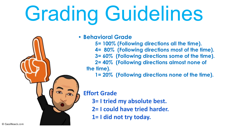#### Grading Guidelines

**• Behavioral Grade**

**5= 100% (Following directions all the time). 4= 80% (Following directions most of the time). 3= 60% (Following directions some of the time). 2= 40% (Following directions almost none of the time).**

**1= 20% (Following directions none of the time).**

#### **Effort Grade**

- **3= I tried my absolute best.**
- **2= I could have tried harder.**
- **1= I did not try today.**

© CassiNoack.com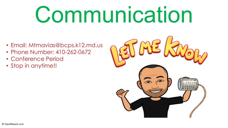#### Communication

- Email: Mtmavias@bcps.k12.md.us
- Phone Number: 410-262-0672
- Conference Period
- Stop in anytime!!

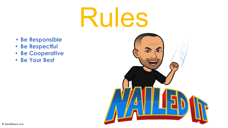#### Rules

- **• Be Responsible**
- **• Be Respectful**
- **• Be Cooperative**
- **• Be Your Best**